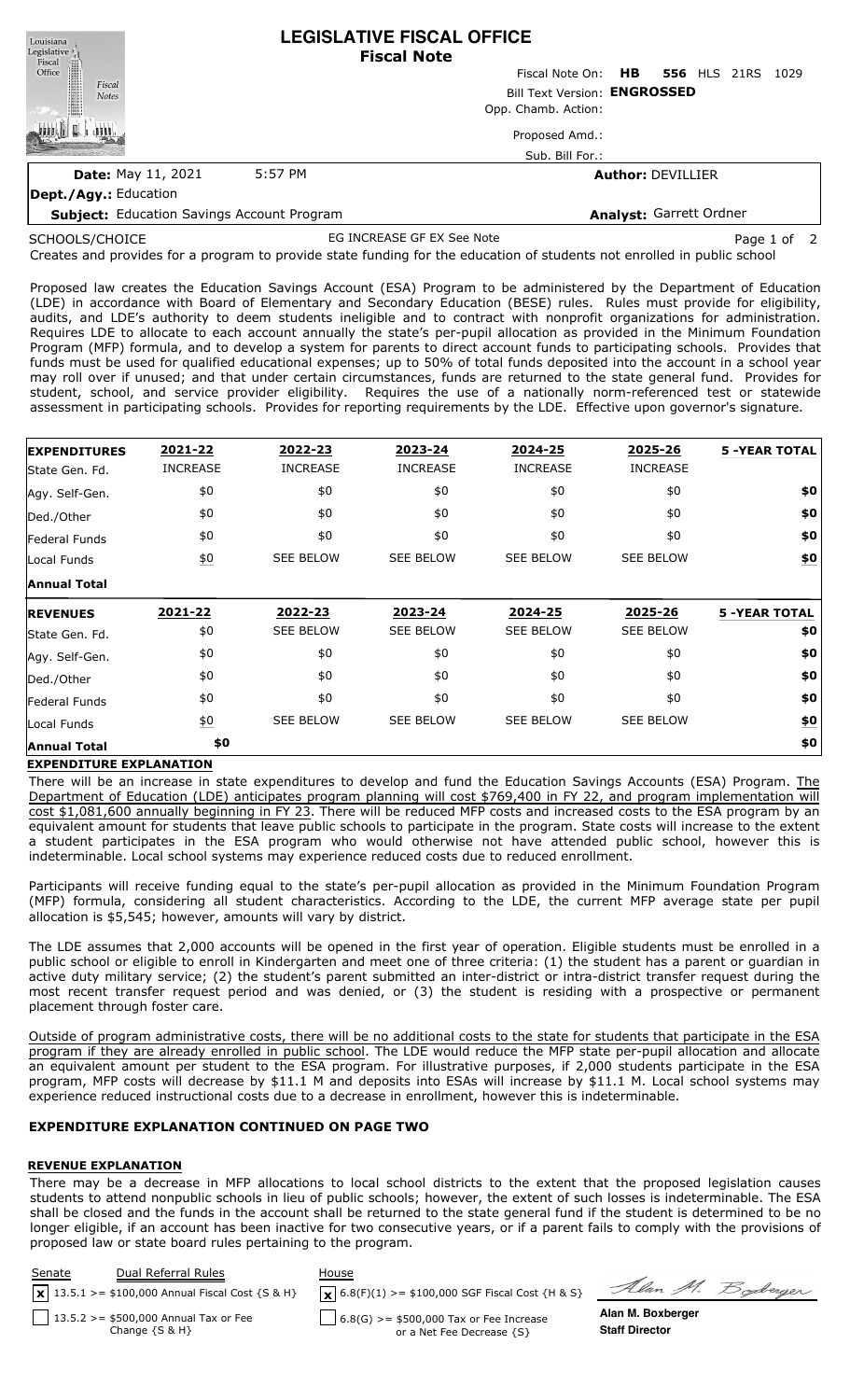| Louisiana<br>Legislative ()                            | <b>LEGISLATIVE FISCAL OFFICE</b><br><b>Fiscal Note</b> |                     |                          |                                 |  |      |
|--------------------------------------------------------|--------------------------------------------------------|---------------------|--------------------------|---------------------------------|--|------|
|                                                        |                                                        |                     |                          | Fiscal Note On: HB 556 HLS 21RS |  | 1029 |
| Fiscal<br>Office<br>Contract<br>Fiscal<br><b>Notes</b> | Bill Text Version: ENGROSSED                           |                     |                          |                                 |  |      |
|                                                        |                                                        | Opp. Chamb. Action: |                          |                                 |  |      |
|                                                        |                                                        | Proposed Amd.:      |                          |                                 |  |      |
|                                                        |                                                        | Sub. Bill For.:     |                          |                                 |  |      |
| <b>Date: May 11, 2021</b>                              | 5:57 PM                                                |                     | <b>Author: DEVILLIER</b> |                                 |  |      |
| <b>Dept./Agy.: Education</b>                           |                                                        |                     |                          |                                 |  |      |
| <b>Subject: Education Savings Account Program</b>      |                                                        |                     | Analyst: Garrett Ordner  |                                 |  |      |

SCHOOLS/CHOICE

EG INCREASE GF EX See Note **Page 1 of 2** 

Soderger

Creates and provides for a program to provide state funding for the education of students not enrolled in public school

Proposed law creates the Education Savings Account (ESA) Program to be administered by the Department of Education (LDE) in accordance with Board of Elementary and Secondary Education (BESE) rules. Rules must provide for eligibility, audits, and LDE's authority to deem students ineligible and to contract with nonprofit organizations for administration. Requires LDE to allocate to each account annually the state's per-pupil allocation as provided in the Minimum Foundation Program (MFP) formula, and to develop a system for parents to direct account funds to participating schools. Provides that funds must be used for qualified educational expenses; up to 50% of total funds deposited into the account in a school year may roll over if unused; and that under certain circumstances, funds are returned to the state general fund. Provides for student, school, and service provider eligibility. Requires the use of a nationally norm-referenced test or statewide assessment in participating schools. Provides for reporting requirements by the LDE. Effective upon governor's signature.

| <b>EXPENDITURES</b>          | 2021-22          | 2022-23          | 2023-24          | 2024-25          | 2025-26          | <b>5 -YEAR TOTAL</b> |
|------------------------------|------------------|------------------|------------------|------------------|------------------|----------------------|
| State Gen. Fd.               | <b>INCREASE</b>  | <b>INCREASE</b>  | <b>INCREASE</b>  | <b>INCREASE</b>  | <b>INCREASE</b>  |                      |
| Agy. Self-Gen.               | \$0              | \$0              | \$0              | \$0              | \$0              | \$0                  |
| Ded./Other                   | \$0              | \$0              | \$0              | \$0              | \$0              | \$0                  |
| <b>Federal Funds</b>         | \$0              | \$0              | \$0              | \$0              | \$0              | \$0                  |
| Local Funds                  | $\underline{50}$ | <b>SEE BELOW</b> | <b>SEE BELOW</b> | <b>SEE BELOW</b> | <b>SEE BELOW</b> | \$0                  |
| <b>Annual Total</b>          |                  |                  |                  |                  |                  |                      |
| <b>REVENUES</b>              | 2021-22          | 2022-23          | 2023-24          | 2024-25          | 2025-26          | <b>5 -YEAR TOTAL</b> |
| State Gen. Fd.               | \$0              | <b>SEE BELOW</b> | <b>SEE BELOW</b> | <b>SEE BELOW</b> | <b>SEE BELOW</b> | \$0                  |
|                              |                  |                  |                  |                  |                  |                      |
|                              | \$0              | \$0              | \$0              | \$0              | \$0              | \$0                  |
| Agy. Self-Gen.<br>Ded./Other | \$0              | \$0              | \$0              | \$0              | \$0              | \$0                  |
|                              | \$0              | \$0              | \$0              | \$0              | \$0              | \$0                  |
| Federal Funds<br>Local Funds | $\underline{50}$ | <b>SEE BELOW</b> | <b>SEE BELOW</b> | <b>SEE BELOW</b> | <b>SEE BELOW</b> | \$0                  |

### **EXPENDITURE EXPLANATION**

There will be an increase in state expenditures to develop and fund the Education Savings Accounts (ESA) Program. The Department of Education (LDE) anticipates program planning will cost \$769,400 in FY 22, and program implementation will cost \$1,081,600 annually beginning in FY 23. There will be reduced MFP costs and increased costs to the ESA program by an equivalent amount for students that leave public schools to participate in the program. State costs will increase to the extent a student participates in the ESA program who would otherwise not have attended public school, however this is indeterminable. Local school systems may experience reduced costs due to reduced enrollment.

Participants will receive funding equal to the state's per-pupil allocation as provided in the Minimum Foundation Program (MFP) formula, considering all student characteristics. According to the LDE, the current MFP average state per pupil allocation is \$5,545; however, amounts will vary by district.

The LDE assumes that 2,000 accounts will be opened in the first year of operation. Eligible students must be enrolled in a public school or eligible to enroll in Kindergarten and meet one of three criteria: (1) the student has a parent or guardian in active duty military service; (2) the student's parent submitted an inter-district or intra-district transfer request during the most recent transfer request period and was denied, or (3) the student is residing with a prospective or permanent placement through foster care.

Outside of program administrative costs, there will be no additional costs to the state for students that participate in the ESA program if they are already enrolled in public school. The LDE would reduce the MFP state per-pupil allocation and allocate an equivalent amount per student to the ESA program. For illustrative purposes, if 2,000 students participate in the ESA program, MFP costs will decrease by \$11.1 M and deposits into ESAs will increase by \$11.1 M. Local school systems may experience reduced instructional costs due to a decrease in enrollment, however this is indeterminable.

# **EXPENDITURE EXPLANATION CONTINUED ON PAGE TWO**

### **REVENUE EXPLANATION**

There may be a decrease in MFP allocations to local school districts to the extent that the proposed legislation causes students to attend nonpublic schools in lieu of public schools; however, the extent of such losses is indeterminable. The ESA shall be closed and the funds in the account shall be returned to the state general fund if the student is determined to be no longer eligible, if an account has been inactive for two consecutive years, or if a parent fails to comply with the provisions of proposed law or state board rules pertaining to the program.

| Senate | Dual Referral Rules<br>$\sqrt{13.5.1}$ >= \$100,000 Annual Fiscal Cost {S & H} | House<br>$\mathbf{X}$ 6.8(F)(1) >= \$100,000 SGF Fiscal Cost {H & S} | Alan M. F             |
|--------|--------------------------------------------------------------------------------|----------------------------------------------------------------------|-----------------------|
|        | 13.5.2 > = \$500,000 Annual Tax or Fee                                         | $6.8(G)$ >= \$500,000 Tax or Fee Increase                            | Alan M. Boxberger     |
|        | Change $\{S \& H\}$                                                            | or a Net Fee Decrease {S}                                            | <b>Staff Director</b> |